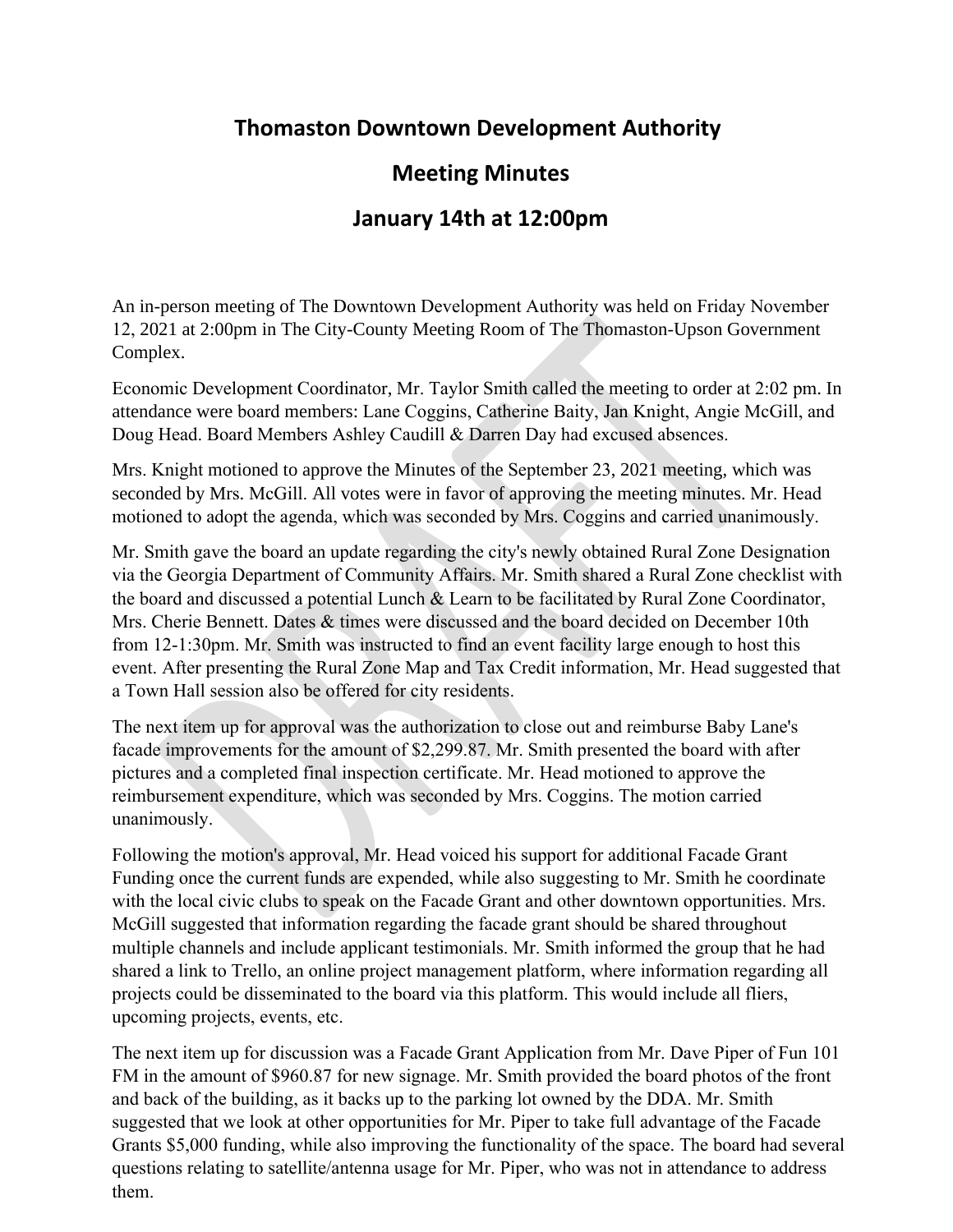## **Meeting Minutes**

## **January 14th at 12:00pm**

An in-person meeting of The Downtown Development Authority was held on Friday Lepwet $\{$ <sup>"</sup> 36vj."4244 at 32:00pm in The City-County Meeting Room of The Thomaston-Upson Government Complex.

Economic Development Coordinator, Mr. Taylor Smith called the meeting to order at 34 $\angle$ 22 pm. In attendance were board members: Lane Coggins, Catherine Baity, Angie McGill, and Doug Head. Board Member"Cujng{"Ecwfknn"jcf"cp"gzewugf"cdugpeg."yjkng" o g o dgt"Fcttgp"Fc{)u" cdugpeg" y cu"wpgzewug f0"Dqct f" O g o dgt"Lcp" Mpki j y)u"vgt o "gpf g f"qp"3415214243" cp f"u j g" j cu"  $f$ gek $f$ g $f'$ vj $c$ v"ujg"p $q$ "n $q$ pig $t'$ ykujgu"v $q'$ ugtxg" $q$ p"vjg" $F$ F $C$ "d $q$ ct $f$ 0

Mr $\theta$ <sup>"</sup> J gcf<sup>"</sup>motioned to approve the Minutes of the Pqxg odgt"34, 2021 meeting, which was seconded by Mrs. McGill. All votes were in favor of approving the meeting minutes. Mr. Head motioned to adopt the agenda, which was seconded by Mrs. Coggins and carried unanimously.

 $V$ jg"hktuv"kvg o "wr"hqt" fkuewuukqp" y cu"c"Hcecfg" I tcpv"Crrnkecvkqp"hqt"325" Y 0" I qtfqp"Uvtggv"kp"vjg"  $\cos\alpha$  o qwpv"gh"  $\&5.558053$ "yq" eq o rngvg" c"hwnn" heecfg" tguvqtcvkqp $00$ " V j g"dwknfkp i "q y pgf" d{" O eNgtq $\{$ " Tgpvcnu"cpf"ngcugf"d{"Ou0"Vcujc"Etqogt"ku"ewttgpvn{"qrgtcvkpi"cu"c"ucnqp"\$Jckt"Uvwfkq\$0"Ot0" Uokvj"kphqtogf"vjg"dqctf"vjcv""tgpfgtkpiu"jcxg"dggp"crrtqxgf"d{"vjg"Jkuvqtke"Rtgugtxcvkqp"  $Eqo$  o kuukqp"cpf"c"Egtvkhkecvg"qh"Crrtqrtkcvgpguu" j cu"dggp"ukipgf0"Cffkvkqpcnn{."Dwknfkpi" Kpurgevqt."Ot0"Lqjp"Dczvgt."jcu"kpurgevgf"vjg"rtqrgtv{"hqt"eqfg"xkqncvkqpu0"Otu0"Eqiikpu"  $\alpha$ qvkqpgf"vq"crrtqxg"vjg"Hcecfg" I tcpv"Crrnkecvkqp." y jkej" y cu"ugeqpfgf"d{"Otu0"Oe I knn"cpf" ecttkg f"wpcpk o qwun $\{0\}$ 

The next item up for discussion was a Facade Grant Application  $\frac{h}{dt}$ : 328132: "Y $\theta$ "Ockp"Uvtggv"kp" vig"coqwpv"qh"&7.222022"vq"eqorngvg"c"hwnn"hcecfg"tguvqtcvkqp0"Vig"dwknfkpi"ku"qypgf"d{"TO" Rtqrgtvkgu" ("Tguvqtcvkqpu."NNE"cpf"vjgtg"ku"ewttgpvn{"cp"cevkxg"dwknfkpi"rgtokv"hqt"kpvgtkqt" tgpqxcvkqpu0"Otu0"Eqiikpu"tgewugf"jgtugnh"htqo"vjku"xqvg."cu"jgtugnh"cpf"dwukpguu"rctvpgt."Otu0"  $FgCpp''Cxgt{f''qy''y'ig''rtargtv{'}}$ kp"swguvkqp0" $Ot0''U\text{ o}$ kvj"kphqtogf"vjg"dqctf"vjcv"tgpfgtkpiu"jcxg" dggp"crrtqxgf"d{"vjg"Jkuvqtke"Rtgugtxcvkqp"Eqookuukqp"cpf"c"Egtvkhkecvg"qh"Crrtqrtkcvgpguu"jcu"  $\deg p$ "ukipgf0"Cffkwkqpcnn{."Dwknfkpi"Kpurgevqt."Ot0"Lqjp"Dczvgt."jcu"kpurgevgf"vjg"rtqrgtv{"hqt" eqfg"xkqncvkqpu0"Otu0"Dckv{"oqvkqpgf"vq"crrtqxg"vjg"Hcecfg"Itcpv"Crrnkecvkqp."yjkej"ycu"  $ugeqpfgf'd{'\bullet}U''Jgcf''cpf''ecttkgf''wpcpko qwun{'\bullet}$ 

 $V$ jg"pgzv"kvg o "wr"hqt" fkuewuukqp" y cu"c"Hcecfg" I tcpv" $Cr$ rnkecvkqp"hqt"92; "P0"Dgvjgn"Uvtggv"\* $ClD+$ "kp" vjg"c o qwpv"qh"&4.722022"vq"rtguuwtg"y cuj."rckpv."cpf"tgrnceg"tqvvkpi"hcuekc0"Vjg"dwknfkpi"ku" qypgf"d{"Ot0"Fcpkgn"Rcnogt"cpf"qrgtcvgf"cu"Rcnogt)u"Gswkrogpv0"Ot0"Uokvj"kphqtogf"vjg"dqctf" vjcv"tgpfgtkpiu"jcxg"dggp"crrtqxgf"d{"vjg"Jkuvqtke"Rtgugtxcvkqp"Eqookuukqp"cpf"c"Egtvkhkecvg"qh" Crrtqrtkcvgpguu"jcu"dggp"ukipgf0"Otu0"Eqiikpu"cumgf"kh"cp{"ukipcig"ku"qwvukfg"vjg"dwknfkpi"vjcv" pqvcvgu"vjg"dwukpguu0"Fkuewuukqp"ycu"jcf"tgictfkpi"vjg"nqecvkqp"dgkpi"qp"vjg"rgtkrjgtcnu"qh"vjg"  $FFC''Fkuvtkev0''$